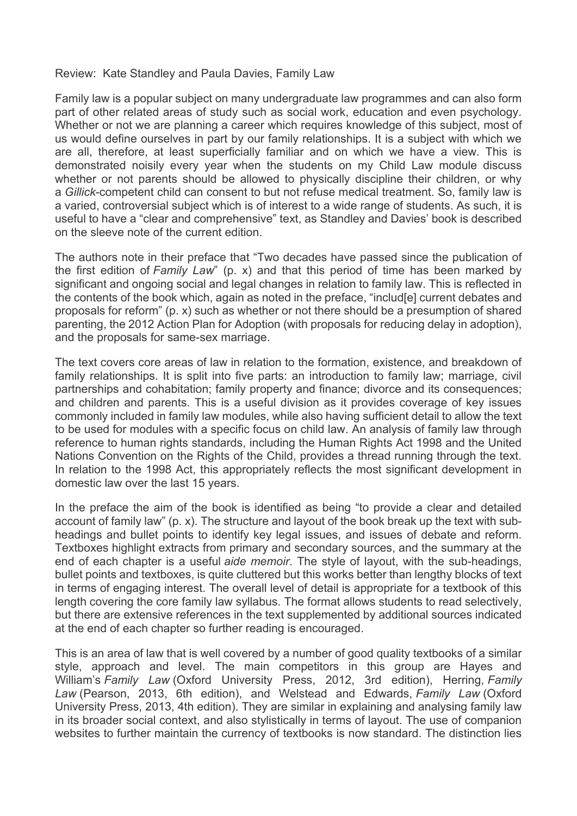## Review: Kate Standley and Paula Davies, Family Law

Family law is a popular subject on many undergraduate law programmes and can also form part of other related areas of study such as social work, education and even psychology. Whether or not we are planning a career which requires knowledge of this subject, most of us would define ourselves in part by our family relationships. It is a subject with which we are all, therefore, at least superficially familiar and on which we have a view. This is demonstrated noisily every year when the students on my Child Law module discuss whether or not parents should be allowed to physically discipline their children, or why a *Gillick*-competent child can consent to but not refuse medical treatment. So, family law is a varied, controversial subject which is of interest to a wide range of students. As such, it is useful to have a "clear and comprehensive" text, as Standley and Davies' book is described on the sleeve note of the current edition.

The authors note in their preface that "Two decades have passed since the publication of the first edition of *Family Law*" (p. x) and that this period of time has been marked by significant and ongoing social and legal changes in relation to family law. This is reflected in the contents of the book which, again as noted in the preface, "includ[e] current debates and proposals for reform" (p. x) such as whether or not there should be a presumption of shared parenting, the 2012 Action Plan for Adoption (with proposals for reducing delay in adoption), and the proposals for same-sex marriage.

The text covers core areas of law in relation to the formation, existence, and breakdown of family relationships. It is split into five parts: an introduction to family law; marriage, civil partnerships and cohabitation; family property and finance; divorce and its consequences; and children and parents. This is a useful division as it provides coverage of key issues commonly included in family law modules, while also having sufficient detail to allow the text to be used for modules with a specific focus on child law. An analysis of family law through reference to human rights standards, including the Human Rights Act 1998 and the United Nations Convention on the Rights of the Child, provides a thread running through the text. In relation to the 1998 Act, this appropriately reflects the most significant development in domestic law over the last 15 years.

In the preface the aim of the book is identified as being "to provide a clear and detailed account of family law" (p. x). The structure and layout of the book break up the text with subheadings and bullet points to identify key legal issues, and issues of debate and reform. Textboxes highlight extracts from primary and secondary sources, and the summary at the end of each chapter is a useful *aide memoir*. The style of layout, with the sub-headings, bullet points and textboxes, is quite cluttered but this works better than lengthy blocks of text in terms of engaging interest. The overall level of detail is appropriate for a textbook of this length covering the core family law syllabus. The format allows students to read selectively, but there are extensive references in the text supplemented by additional sources indicated at the end of each chapter so further reading is encouraged.

This is an area of law that is well covered by a number of good quality textbooks of a similar style, approach and level. The main competitors in this group are Hayes and William's *Family Law* (Oxford University Press, 2012, 3rd edition), Herring, *Family Law* (Pearson, 2013, 6th edition), and Welstead and Edwards, *Family Law* (Oxford University Press, 2013, 4th edition). They are similar in explaining and analysing family law in its broader social context, and also stylistically in terms of layout. The use of companion websites to further maintain the currency of textbooks is now standard. The distinction lies